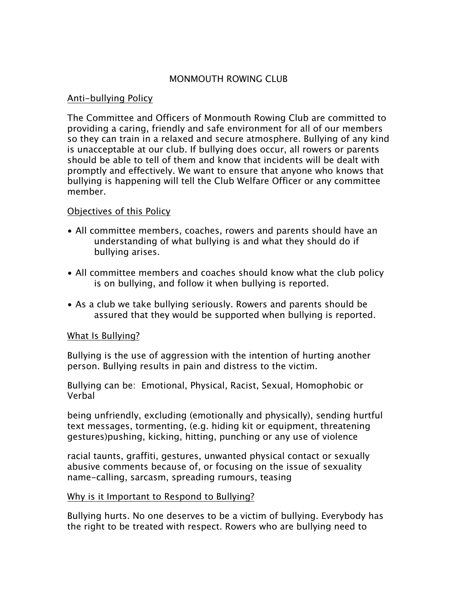## MONMOUTH ROWING CLUB

#### Anti-bullying Policy

The Committee and Officers of Monmouth Rowing Club are committed to providing a caring, friendly and safe environment for all of our members so they can train in a relaxed and secure atmosphere. Bullying of any kind is unacceptable at our club. If bullying does occur, all rowers or parents should be able to tell of them and know that incidents will be dealt with promptly and effectively. We want to ensure that anyone who knows that bullying is happening will tell the Club Welfare Officer or any committee member.

### Objectives of this Policy

- All committee members, coaches, rowers and parents should have an understanding of what bullying is and what they should do if bullying arises.
- All committee members and coaches should know what the club policy is on bullying, and follow it when bullying is reported.
- As a club we take bullying seriously. Rowers and parents should be assured that they would be supported when bullying is reported.

## What Is Bullying?

Bullying is the use of aggression with the intention of hurting another person. Bullying results in pain and distress to the victim.

Bullying can be: Emotional, Physical, Racist, Sexual, Homophobic or Verbal

being unfriendly, excluding (emotionally and physically), sending hurtful text messages, tormenting, (e.g. hiding kit or equipment, threatening gestures)pushing, kicking, hitting, punching or any use of violence

racial taunts, graffiti, gestures, unwanted physical contact or sexually abusive comments because of, or focusing on the issue of sexuality name-calling, sarcasm, spreading rumours, teasing

#### Why is it Important to Respond to Bullying?

Bullying hurts. No one deserves to be a victim of bullying. Everybody has the right to be treated with respect. Rowers who are bullying need to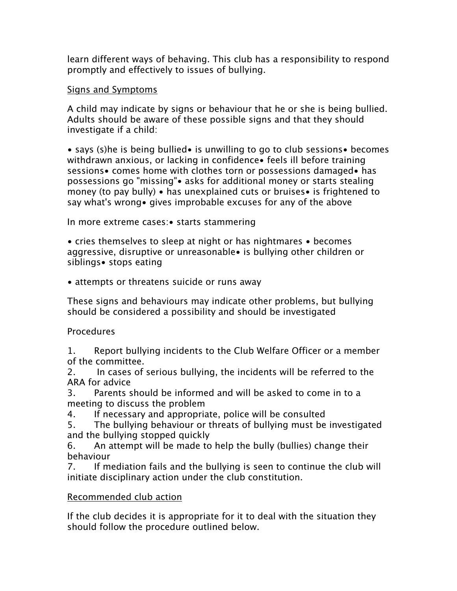learn different ways of behaving. This club has a responsibility to respond promptly and effectively to issues of bullying.

## Signs and Symptoms

A child may indicate by signs or behaviour that he or she is being bullied. Adults should be aware of these possible signs and that they should investigate if a child:

• says (s)he is being bullied• is unwilling to go to club sessions• becomes withdrawn anxious, or lacking in confidence• feels ill before training sessions• comes home with clothes torn or possessions damaged• has possessions go "missing"• asks for additional money or starts stealing money (to pay bully) • has unexplained cuts or bruises• is frightened to say what's wrong• gives improbable excuses for any of the above

In more extreme cases:• starts stammering

• cries themselves to sleep at night or has nightmares • becomes aggressive, disruptive or unreasonable• is bullying other children or siblings• stops eating

• attempts or threatens suicide or runs away

These signs and behaviours may indicate other problems, but bullying should be considered a possibility and should be investigated

# Procedures

1. Report bullying incidents to the Club Welfare Officer or a member of the committee.

2. In cases of serious bullying, the incidents will be referred to the ARA for advice

3. Parents should be informed and will be asked to come in to a meeting to discuss the problem

4. If necessary and appropriate, police will be consulted

5. The bullying behaviour or threats of bullying must be investigated and the bullying stopped quickly

6. An attempt will be made to help the bully (bullies) change their behaviour

7. If mediation fails and the bullying is seen to continue the club will initiate disciplinary action under the club constitution.

# Recommended club action

If the club decides it is appropriate for it to deal with the situation they should follow the procedure outlined below.